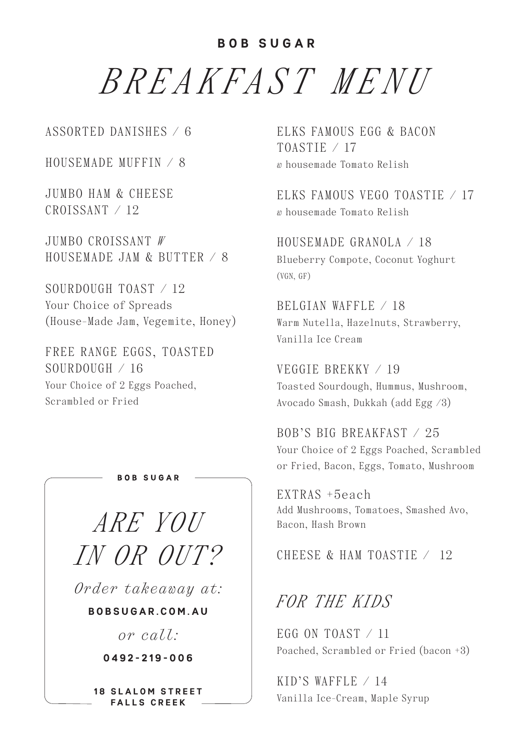## **BOB SUGAR**

*BREAKFAST MENU*

ASSORTED DANISHES / 6

HOUSEMADE MUFFIN / 8

JUMBO HAM & CHEESE CROISSANT / 12

JUMBO CROISSANT *W* HOUSEMADE JAM & BUTTER  $\angle$  8

SOURDOUGH TOAST / 12 Your Choice of Spreads (House-Made Jam, Vegemite, Honey)

FREE RANGE EGGS, TOASTED SOURDOUGH / 16 Your Choice of 2 Eggs Poached, Scrambled or Fried

*ARE YOU* 

**BOR SUGAR** 

*IN OR OUT? Order takeaway at:* 

**B O B S U G A R . C O M . A U** 

*or call:* 

**0492-219-006**

**18 SLALOM STREET FALLS CREEK**

ELKS FAMOUS EGG & BACON TOASTIE / 17 *w* housemade Tomato Relish

ELKS FAMOUS VEGO TOASTIE  $\neq$  17 *w* housemade Tomato Relish

HOUSEMADE GRANOLA / 18 Blueberry Compote, Coconut Yoghurt (VGN, GF)

BELGIAN WAFFLE / 18 Warm Nutella, Hazelnuts, Strawberry, Vanilla Ice Cream

VEGGIE BREKKY / 19 Toasted Sourdough, Hummus, Mushroom, Avocado Smash, Dukkah (add Egg /3)

BOB'S BIG BREAKFAST / 25 Your Choice of 2 Eggs Poached, Scrambled or Fried, Bacon, Eggs, Tomato, Mushroom

EXTRAS +5each Add Mushrooms, Tomatoes, Smashed Avo, Bacon, Hash Brown

CHEESE & HAM TOASTIE / 12

*FOR THE KIDS* 

EGG ON TOAST  $\angle$  11 Poached, Scrambled or Fried (bacon +3)

KID'S WAFFLE  $/ 14$ Vanilla Ice-Cream, Maple Syrup